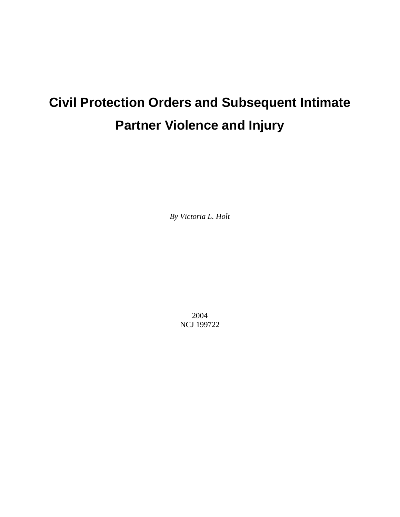# **Civil Protection Orders and Subsequent Intimate Partner Violence and Injury**

*By Victoria L. Holt* 

2004 NCJ 199722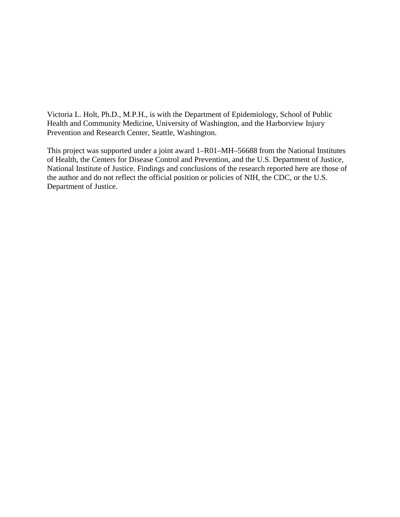Victoria L. Holt, Ph.D., M.P.H., is with the Department of Epidemiology, School of Public Health and Community Medicine, University of Washington, and the Harborview Injury Prevention and Research Center, Seattle, Washington.

This project was supported under a joint award 1–R01–MH–56688 from the National Institutes of Health, the Centers for Disease Control and Prevention, and the U.S. Department of Justice, National Institute of Justice. Findings and conclusions of the research reported here are those of the author and do not reflect the official position or policies of NIH, the CDC, or the U.S. Department of Justice.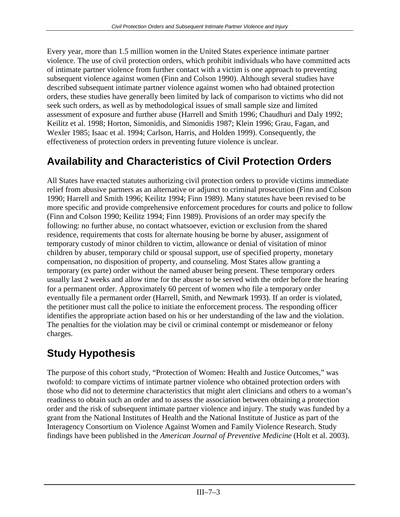Every year, more than 1.5 million women in the United States experience intimate partner violence. The use of civil protection orders, which prohibit individuals who have committed acts of intimate partner violence from further contact with a victim is one approach to preventing subsequent violence against women (Finn and Colson 1990). Although several studies have described subsequent intimate partner violence against women who had obtained protection orders, these studies have generally been limited by lack of comparison to victims who did not seek such orders, as well as by methodological issues of small sample size and limited assessment of exposure and further abuse (Harrell and Smith 1996; Chaudhuri and Daly 1992; Keilitz et al. 1998; Horton, Simonidis, and Simonidis 1987; Klein 1996; Grau, Fagan, and Wexler 1985; Isaac et al. 1994; Carlson, Harris, and Holden 1999). Consequently, the effectiveness of protection orders in preventing future violence is unclear.

## **Availability and Characteristics of Civil Protection Orders**

All States have enacted statutes authorizing civil protection orders to provide victims immediate relief from abusive partners as an alternative or adjunct to criminal prosecution (Finn and Colson 1990; Harrell and Smith 1996; Keilitz 1994; Finn 1989). Many statutes have been revised to be more specific and provide comprehensive enforcement procedures for courts and police to follow (Finn and Colson 1990; Keilitz 1994; Finn 1989). Provisions of an order may specify the following: no further abuse, no contact whatsoever, eviction or exclusion from the shared residence, requirements that costs for alternate housing be borne by abuser, assignment of temporary custody of minor children to victim, allowance or denial of visitation of minor children by abuser, temporary child or spousal support, use of specified property, monetary compensation, no disposition of property, and counseling. Most States allow granting a temporary (ex parte) order without the named abuser being present. These temporary orders usually last 2 weeks and allow time for the abuser to be served with the order before the hearing for a permanent order. Approximately 60 percent of women who file a temporary order eventually file a permanent order (Harrell, Smith, and Newmark 1993). If an order is violated, the petitioner must call the police to initiate the enforcement process. The responding officer identifies the appropriate action based on his or her understanding of the law and the violation. The penalties for the violation may be civil or criminal contempt or misdemeanor or felony charges.

## **Study Hypothesis**

The purpose of this cohort study, "Protection of Women: Health and Justice Outcomes," was twofold: to compare victims of intimate partner violence who obtained protection orders with those who did not to determine characteristics that might alert clinicians and others to a woman's readiness to obtain such an order and to assess the association between obtaining a protection order and the risk of subsequent intimate partner violence and injury. The study was funded by a grant from the National Institutes of Health and the National Institute of Justice as part of the Interagency Consortium on Violence Against Women and Family Violence Research. Study findings have been published in the *American Journal of Preventive Medicine* (Holt et al. 2003).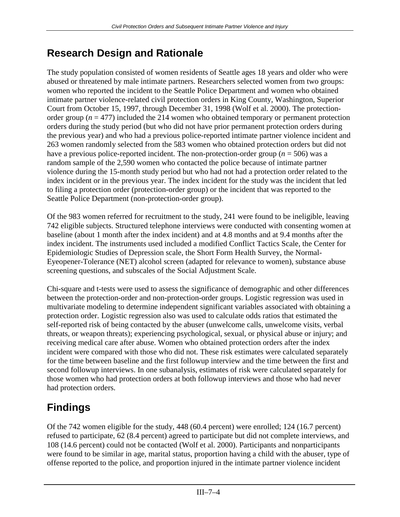## **Research Design and Rationale**

The study population consisted of women residents of Seattle ages 18 years and older who were abused or threatened by male intimate partners. Researchers selected women from two groups: women who reported the incident to the Seattle Police Department and women who obtained intimate partner violence-related civil protection orders in King County, Washington, Superior Court from October 15, 1997, through December 31, 1998 (Wolf et al. 2000). The protectionorder group ( $n = 477$ ) included the 214 women who obtained temporary or permanent protection orders during the study period (but who did not have prior permanent protection orders during the previous year) and who had a previous police-reported intimate partner violence incident and 263 women randomly selected from the 583 women who obtained protection orders but did not have a previous police-reported incident. The non-protection-order group (*n* = 506) was a random sample of the 2,590 women who contacted the police because of intimate partner violence during the 15-month study period but who had not had a protection order related to the index incident or in the previous year. The index incident for the study was the incident that led to filing a protection order (protection-order group) or the incident that was reported to the Seattle Police Department (non-protection-order group).

Of the 983 women referred for recruitment to the study, 241 were found to be ineligible, leaving 742 eligible subjects. Structured telephone interviews were conducted with consenting women at baseline (about 1 month after the index incident) and at 4.8 months and at 9.4 months after the index incident. The instruments used included a modified Conflict Tactics Scale, the Center for Epidemiologic Studies of Depression scale, the Short Form Health Survey, the Normal-Eyeopener-Tolerance (NET) alcohol screen (adapted for relevance to women), substance abuse screening questions, and subscales of the Social Adjustment Scale.

Chi-square and t-tests were used to assess the significance of demographic and other differences between the protection-order and non-protection-order groups. Logistic regression was used in multivariate modeling to determine independent significant variables associated with obtaining a protection order. Logistic regression also was used to calculate odds ratios that estimated the self-reported risk of being contacted by the abuser (unwelcome calls, unwelcome visits, verbal threats, or weapon threats); experiencing psychological, sexual, or physical abuse or injury; and receiving medical care after abuse. Women who obtained protection orders after the index incident were compared with those who did not. These risk estimates were calculated separately for the time between baseline and the first followup interview and the time between the first and second followup interviews. In one subanalysis, estimates of risk were calculated separately for those women who had protection orders at both followup interviews and those who had never had protection orders.

## **Findings**

Of the 742 women eligible for the study, 448 (60.4 percent) were enrolled; 124 (16.7 percent) refused to participate, 62 (8.4 percent) agreed to participate but did not complete interviews, and 108 (14.6 percent) could not be contacted (Wolf et al. 2000). Participants and nonparticipants were found to be similar in age, marital status, proportion having a child with the abuser, type of offense reported to the police, and proportion injured in the intimate partner violence incident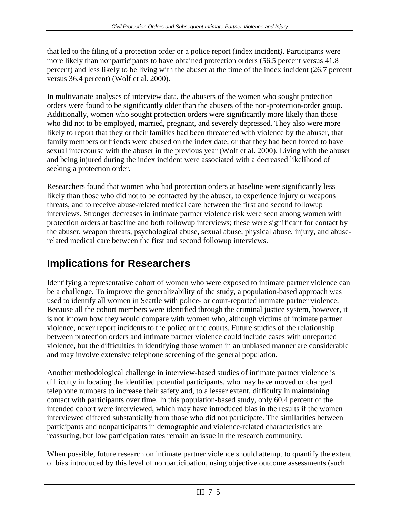that led to the filing of a protection order or a police report (index incident*)*. Participants were more likely than nonparticipants to have obtained protection orders (56.5 percent versus 41.8 percent) and less likely to be living with the abuser at the time of the index incident (26.7 percent versus 36.4 percent) (Wolf et al. 2000).

In multivariate analyses of interview data, the abusers of the women who sought protection orders were found to be significantly older than the abusers of the non-protection-order group. Additionally, women who sought protection orders were significantly more likely than those who did not to be employed, married, pregnant, and severely depressed. They also were more likely to report that they or their families had been threatened with violence by the abuser, that family members or friends were abused on the index date, or that they had been forced to have sexual intercourse with the abuser in the previous year (Wolf et al. 2000). Living with the abuser and being injured during the index incident were associated with a decreased likelihood of seeking a protection order.

Researchers found that women who had protection orders at baseline were significantly less likely than those who did not to be contacted by the abuser, to experience injury or weapons threats, and to receive abuse-related medical care between the first and second followup interviews. Stronger decreases in intimate partner violence risk were seen among women with protection orders at baseline and both followup interviews; these were significant for contact by the abuser, weapon threats, psychological abuse, sexual abuse, physical abuse, injury, and abuserelated medical care between the first and second followup interviews.

## **Implications for Researchers**

Identifying a representative cohort of women who were exposed to intimate partner violence can be a challenge. To improve the generalizability of the study, a population-based approach was used to identify all women in Seattle with police- or court-reported intimate partner violence. Because all the cohort members were identified through the criminal justice system, however, it is not known how they would compare with women who, although victims of intimate partner violence, never report incidents to the police or the courts. Future studies of the relationship between protection orders and intimate partner violence could include cases with unreported violence, but the difficulties in identifying those women in an unbiased manner are considerable and may involve extensive telephone screening of the general population.

Another methodological challenge in interview-based studies of intimate partner violence is difficulty in locating the identified potential participants, who may have moved or changed telephone numbers to increase their safety and, to a lesser extent, difficulty in maintaining contact with participants over time. In this population-based study, only 60.4 percent of the intended cohort were interviewed, which may have introduced bias in the results if the women interviewed differed substantially from those who did not participate. The similarities between participants and nonparticipants in demographic and violence-related characteristics are reassuring, but low participation rates remain an issue in the research community.

When possible, future research on intimate partner violence should attempt to quantify the extent of bias introduced by this level of nonparticipation, using objective outcome assessments (such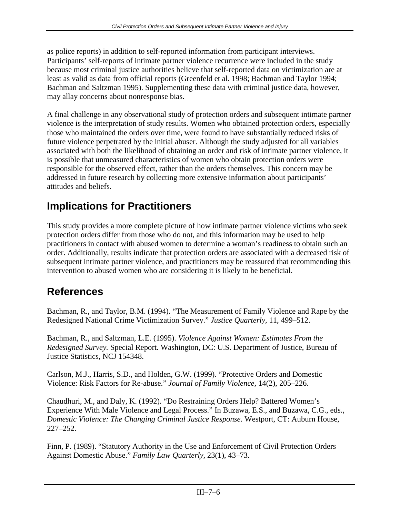as police reports) in addition to self-reported information from participant interviews. Participants' self-reports of intimate partner violence recurrence were included in the study because most criminal justice authorities believe that self-reported data on victimization are at least as valid as data from official reports (Greenfeld et al. 1998; Bachman and Taylor 1994; Bachman and Saltzman 1995). Supplementing these data with criminal justice data, however, may allay concerns about nonresponse bias.

A final challenge in any observational study of protection orders and subsequent intimate partner violence is the interpretation of study results. Women who obtained protection orders, especially those who maintained the orders over time, were found to have substantially reduced risks of future violence perpetrated by the initial abuser. Although the study adjusted for all variables associated with both the likelihood of obtaining an order and risk of intimate partner violence, it is possible that unmeasured characteristics of women who obtain protection orders were responsible for the observed effect, rather than the orders themselves. This concern may be addressed in future research by collecting more extensive information about participants' attitudes and beliefs.

## **Implications for Practitioners**

This study provides a more complete picture of how intimate partner violence victims who seek protection orders differ from those who do not, and this information may be used to help practitioners in contact with abused women to determine a woman's readiness to obtain such an order. Additionally, results indicate that protection orders are associated with a decreased risk of subsequent intimate partner violence, and practitioners may be reassured that recommending this intervention to abused women who are considering it is likely to be beneficial.

## **References**

Bachman, R., and Taylor, B.M. (1994). "The Measurement of Family Violence and Rape by the Redesigned National Crime Victimization Survey." *Justice Quarterly,* 11, 499–512.

Bachman, R., and Saltzman, L.E*.* (1995). *Violence Against Women: Estimates From the Redesigned Survey.* Special Report. Washington, DC: U.S. Department of Justice, Bureau of Justice Statistics, NCJ 154348.

Carlson, M.J., Harris, S.D., and Holden, G.W. (1999). "Protective Orders and Domestic Violence: Risk Factors for Re-abuse." *Journal of Family Violence,* 14(2), 205–226.

Chaudhuri, M., and Daly, K. (1992). "Do Restraining Orders Help? Battered Women's Experience With Male Violence and Legal Process." In Buzawa, E.S., and Buzawa, C.G., eds., *Domestic Violence: The Changing Criminal Justice Response.* Westport, CT: Auburn House, 227–252.

Finn, P. (1989). "Statutory Authority in the Use and Enforcement of Civil Protection Orders Against Domestic Abuse." *Family Law Quarterly,* 23(1), 43–73.